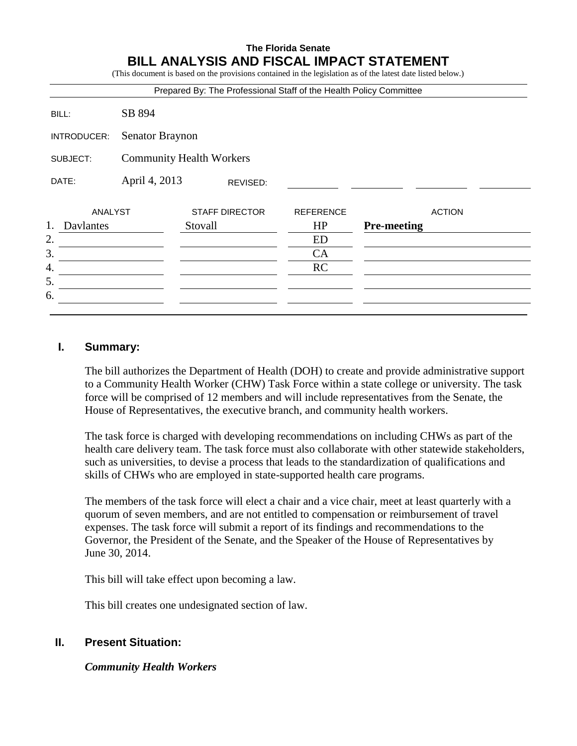# **The Florida Senate BILL ANALYSIS AND FISCAL IMPACT STATEMENT**

(This document is based on the provisions contained in the legislation as of the latest date listed below.)

| Prepared By: The Professional Staff of the Health Policy Committee |                                 |         |                       |                  |                    |               |
|--------------------------------------------------------------------|---------------------------------|---------|-----------------------|------------------|--------------------|---------------|
| BILL:                                                              | SB 894                          |         |                       |                  |                    |               |
| INTRODUCER:                                                        | <b>Senator Braynon</b>          |         |                       |                  |                    |               |
| SUBJECT:                                                           | <b>Community Health Workers</b> |         |                       |                  |                    |               |
| DATE:                                                              | April 4, 2013<br>REVISED:       |         |                       |                  |                    |               |
| ANALYST                                                            |                                 |         | <b>STAFF DIRECTOR</b> | <b>REFERENCE</b> |                    | <b>ACTION</b> |
| 1.<br>Davlantes                                                    |                                 | Stovall |                       | HP               | <b>Pre-meeting</b> |               |
| 2.                                                                 |                                 |         |                       | ED               |                    |               |
| 3.                                                                 |                                 |         |                       | CA               |                    |               |
| 4.                                                                 |                                 |         |                       | <b>RC</b>        |                    |               |
| 5.                                                                 |                                 |         |                       |                  |                    |               |
| 6.                                                                 |                                 |         |                       |                  |                    |               |
|                                                                    |                                 |         |                       |                  |                    |               |

### **I. Summary:**

The bill authorizes the Department of Health (DOH) to create and provide administrative support to a Community Health Worker (CHW) Task Force within a state college or university. The task force will be comprised of 12 members and will include representatives from the Senate, the House of Representatives, the executive branch, and community health workers.

The task force is charged with developing recommendations on including CHWs as part of the health care delivery team. The task force must also collaborate with other statewide stakeholders, such as universities, to devise a process that leads to the standardization of qualifications and skills of CHWs who are employed in state-supported health care programs.

The members of the task force will elect a chair and a vice chair, meet at least quarterly with a quorum of seven members, and are not entitled to compensation or reimbursement of travel expenses. The task force will submit a report of its findings and recommendations to the Governor, the President of the Senate, and the Speaker of the House of Representatives by June 30, 2014.

This bill will take effect upon becoming a law.

This bill creates one undesignated section of law.

## **II. Present Situation:**

*Community Health Workers*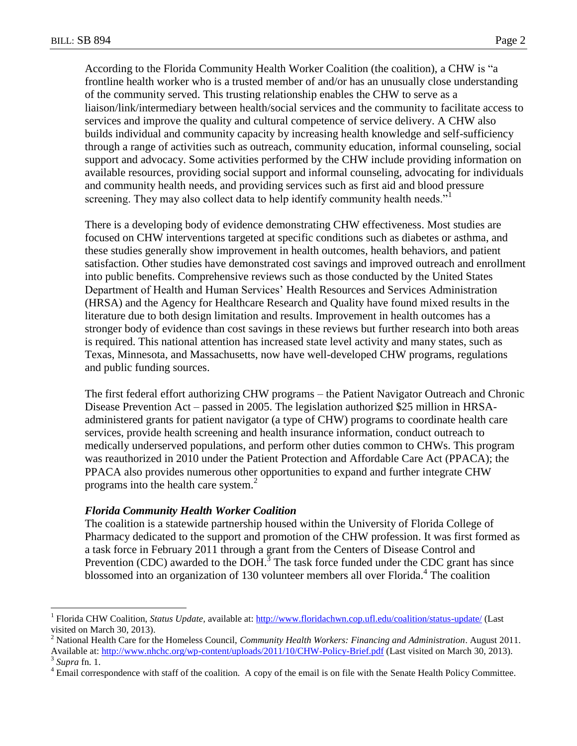According to the Florida Community Health Worker Coalition (the coalition), a CHW is "a frontline health worker who is a trusted member of and/or has an unusually close understanding of the community served. This trusting relationship enables the CHW to serve as a liaison/link/intermediary between health/social services and the community to facilitate access to services and improve the quality and cultural competence of service delivery. A CHW also builds individual and community capacity by increasing health knowledge and self-sufficiency through a range of activities such as outreach, community education, informal counseling, social support and advocacy. Some activities performed by the CHW include providing information on available resources, providing social support and informal counseling, advocating for individuals and community health needs, and providing services such as first aid and blood pressure screening. They may also collect data to help identify community health needs."<sup>1</sup>

There is a developing body of evidence demonstrating CHW effectiveness. Most studies are focused on CHW interventions targeted at specific conditions such as diabetes or asthma, and these studies generally show improvement in health outcomes, health behaviors, and patient satisfaction. Other studies have demonstrated cost savings and improved outreach and enrollment into public benefits. Comprehensive reviews such as those conducted by the United States Department of Health and Human Services' Health Resources and Services Administration (HRSA) and the Agency for Healthcare Research and Quality have found mixed results in the literature due to both design limitation and results. Improvement in health outcomes has a stronger body of evidence than cost savings in these reviews but further research into both areas is required. This national attention has increased state level activity and many states, such as Texas, Minnesota, and Massachusetts, now have well-developed CHW programs, regulations and public funding sources.

The first federal effort authorizing CHW programs – the Patient Navigator Outreach and Chronic Disease Prevention Act – passed in 2005. The legislation authorized \$25 million in HRSAadministered grants for patient navigator (a type of CHW) programs to coordinate health care services, provide health screening and health insurance information, conduct outreach to medically underserved populations, and perform other duties common to CHWs. This program was reauthorized in 2010 under the Patient Protection and Affordable Care Act (PPACA); the PPACA also provides numerous other opportunities to expand and further integrate CHW programs into the health care system. $<sup>2</sup>$ </sup>

#### *Florida Community Health Worker Coalition*

The coalition is a statewide partnership housed within the University of Florida College of Pharmacy dedicated to the support and promotion of the CHW profession. It was first formed as a task force in February 2011 through a grant from the Centers of Disease Control and Prevention (CDC) awarded to the  $\overline{DOH}^3$ . The task force funded under the CDC grant has since blossomed into an organization of 130 volunteer members all over Florida.<sup>4</sup> The coalition

 $\overline{a}$ 

<sup>1</sup> Florida CHW Coalition, *Status Update,* available at[: http://www.floridachwn.cop.ufl.edu/coalition/status-update/](http://www.floridachwn.cop.ufl.edu/coalition/status-update/) (Last visited on March 30, 2013).

<sup>2</sup> National Health Care for the Homeless Council, *Community Health Workers: Financing and Administration*. August 2011. Available at:<http://www.nhchc.org/wp-content/uploads/2011/10/CHW-Policy-Brief.pdf> (Last visited on March 30, 2013).

<sup>3</sup> *Supra* fn. 1.

<sup>4</sup> Email correspondence with staff of the coalition. A copy of the email is on file with the Senate Health Policy Committee.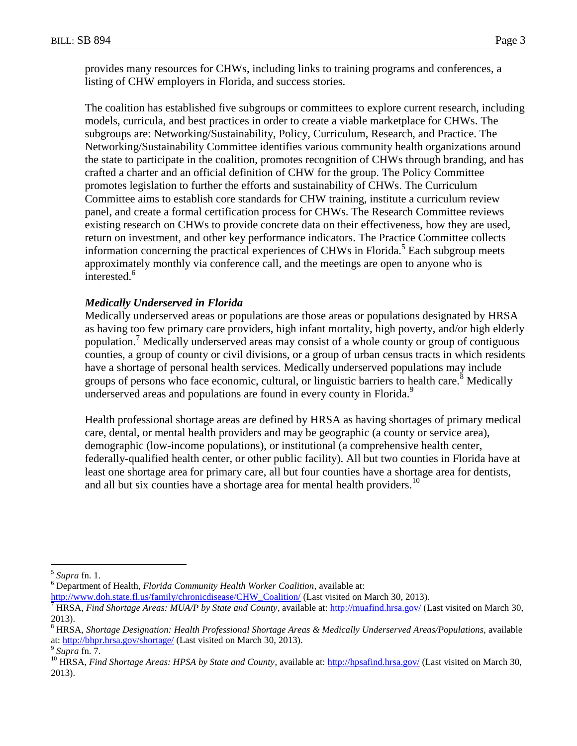provides many resources for CHWs, including links to training programs and conferences, a listing of CHW employers in Florida, and success stories.

The coalition has established five subgroups or committees to explore current research, including models, curricula, and best practices in order to create a viable marketplace for CHWs. The subgroups are: Networking/Sustainability, Policy, Curriculum, Research, and Practice. The Networking/Sustainability Committee identifies various community health organizations around the state to participate in the coalition, promotes recognition of CHWs through branding, and has crafted a charter and an official definition of CHW for the group. The Policy Committee promotes legislation to further the efforts and sustainability of CHWs. The Curriculum Committee aims to establish core standards for CHW training, institute a curriculum review panel, and create a formal certification process for CHWs. The Research Committee reviews existing research on CHWs to provide concrete data on their effectiveness, how they are used, return on investment, and other key performance indicators. The Practice Committee collects information concerning the practical experiences of CHWs in Florida.<sup>5</sup> Each subgroup meets approximately monthly via conference call, and the meetings are open to anyone who is interested.<sup>6</sup>

#### *Medically Underserved in Florida*

Medically underserved areas or populations are those areas or populations designated by HRSA as having too few primary care providers, high infant mortality, high poverty, and/or high elderly population.<sup>7</sup> Medically underserved areas may consist of a whole county or group of contiguous counties, a group of county or civil divisions, or a group of urban census tracts in which residents have a shortage of personal health services. Medically underserved populations may include groups of persons who face economic, cultural, or linguistic barriers to health care.<sup>8</sup> Medically underserved areas and populations are found in every county in Florida.<sup>9</sup>

Health professional shortage areas are defined by HRSA as having shortages of primary medical care, dental, or mental health providers and may be geographic (a county or service area), demographic (low-income populations), or institutional (a comprehensive health center, federally-qualified health center, or other public facility). All but two counties in Florida have at least one shortage area for primary care, all but four counties have a shortage area for dentists, and all but six counties have a shortage area for mental health providers.<sup>10</sup>

 $\overline{a}$ 

<sup>5</sup> *Supra* fn. 1.

<sup>6</sup> Department of Health, *Florida Community Health Worker Coalition,* available at:

[http://www.doh.state.fl.us/family/chronicdisease/CHW\\_Coalition/](http://www.doh.state.fl.us/family/chronicdisease/CHW_Coalition/) (Last visited on March 30, 2013).

<sup>7</sup> HRSA, *Find Shortage Areas: MUA/P by State and County*, available at:<http://muafind.hrsa.gov/> (Last visited on March 30, 2013).

<sup>&</sup>lt;sup>8</sup> HRSA, *Shortage Designation: Health Professional Shortage Areas & Medically Underserved Areas/Populations, available* at:<http://bhpr.hrsa.gov/shortage/> (Last visited on March 30, 2013).

<sup>9</sup> *Supra* fn. 7.

<sup>&</sup>lt;sup>10</sup> HRSA, *Find Shortage Areas: HPSA by State and County*, available at[: http://hpsafind.hrsa.gov/](http://hpsafind.hrsa.gov/) (Last visited on March 30, 2013).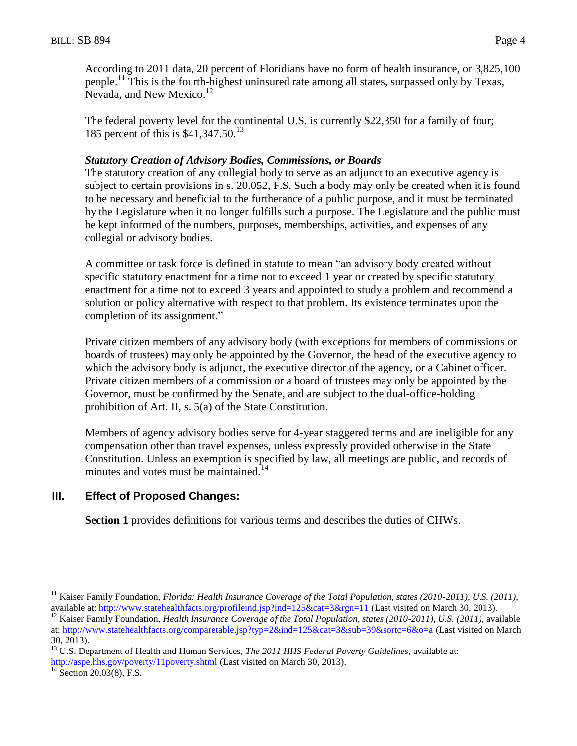According to 2011 data, 20 percent of Floridians have no form of health insurance, or 3,825,100 people.<sup>11</sup> This is the fourth-highest uninsured rate among all states, surpassed only by Texas, Nevada, and New Mexico.<sup>12</sup>

The federal poverty level for the continental U.S. is currently \$22,350 for a family of four; 185 percent of this is \$41,347.50.<sup>13</sup>

## *Statutory Creation of Advisory Bodies, Commissions, or Boards*

The statutory creation of any collegial body to serve as an adjunct to an executive agency is subject to certain provisions in s. 20.052, F.S. Such a body may only be created when it is found to be necessary and beneficial to the furtherance of a public purpose, and it must be terminated by the Legislature when it no longer fulfills such a purpose. The Legislature and the public must be kept informed of the numbers, purposes, memberships, activities, and expenses of any collegial or advisory bodies.

A committee or task force is defined in statute to mean "an advisory body created without specific statutory enactment for a time not to exceed 1 year or created by specific statutory enactment for a time not to exceed 3 years and appointed to study a problem and recommend a solution or policy alternative with respect to that problem. Its existence terminates upon the completion of its assignment."

Private citizen members of any advisory body (with exceptions for members of commissions or boards of trustees) may only be appointed by the Governor, the head of the executive agency to which the advisory body is adjunct, the executive director of the agency, or a Cabinet officer. Private citizen members of a commission or a board of trustees may only be appointed by the Governor, must be confirmed by the Senate, and are subject to the dual-office-holding prohibition of Art. II, s. 5(a) of the State Constitution.

Members of agency advisory bodies serve for 4-year staggered terms and are ineligible for any compensation other than travel expenses, unless expressly provided otherwise in the State Constitution. Unless an exemption is specified by law, all meetings are public, and records of minutes and votes must be maintained.<sup>14</sup>

## **III. Effect of Proposed Changes:**

**Section 1** provides definitions for various terms and describes the duties of CHWs.

 $\overline{a}$ 

<sup>&</sup>lt;sup>11</sup> Kaiser Family Foundation, *Florida: Health Insurance Coverage of the Total Population, states (2010-2011), U.S. (2011)*, available at:<http://www.statehealthfacts.org/profileind.jsp?ind=125&cat=3&rgn=11> (Last visited on March 30, 2013).

<sup>&</sup>lt;sup>12</sup> Kaiser Family Foundation, *Health Insurance Coverage of the Total Population, states (2010-2011), U.S. (2011)*, available at:<http://www.statehealthfacts.org/comparetable.jsp?typ=2&ind=125&cat=3&sub=39&sortc=6&o=a> (Last visited on March 30, 2013).

<sup>13</sup> U.S. Department of Health and Human Services, *The 2011 HHS Federal Poverty Guidelines*, available at: <http://aspe.hhs.gov/poverty/11poverty.shtml> (Last visited on March 30, 2013).

 $14$  Section 20.03(8), F.S.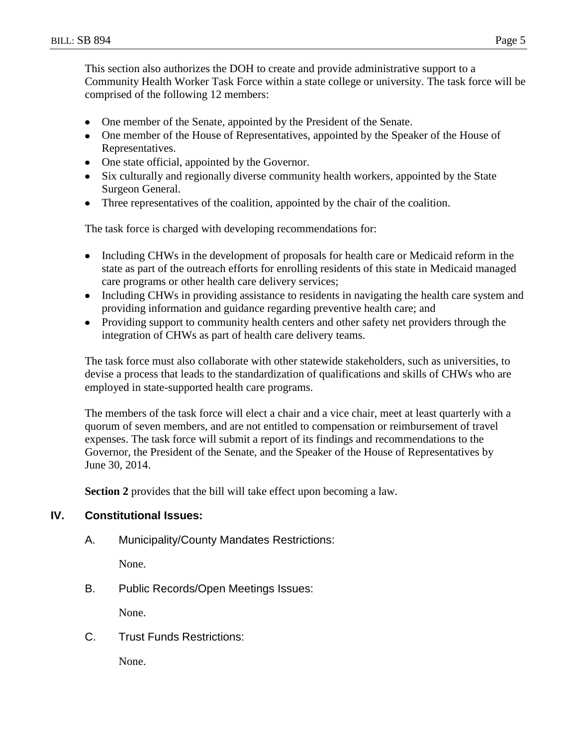This section also authorizes the DOH to create and provide administrative support to a Community Health Worker Task Force within a state college or university. The task force will be comprised of the following 12 members:

- One member of the Senate, appointed by the President of the Senate.
- One member of the House of Representatives, appointed by the Speaker of the House of Representatives.
- One state official, appointed by the Governor.
- Six culturally and regionally diverse community health workers, appointed by the State Surgeon General.
- Three representatives of the coalition, appointed by the chair of the coalition.

The task force is charged with developing recommendations for:

- Including CHWs in the development of proposals for health care or Medicaid reform in the  $\bullet$ state as part of the outreach efforts for enrolling residents of this state in Medicaid managed care programs or other health care delivery services;
- Including CHWs in providing assistance to residents in navigating the health care system and  $\bullet$ providing information and guidance regarding preventive health care; and
- Providing support to community health centers and other safety net providers through the integration of CHWs as part of health care delivery teams.

The task force must also collaborate with other statewide stakeholders, such as universities, to devise a process that leads to the standardization of qualifications and skills of CHWs who are employed in state-supported health care programs.

The members of the task force will elect a chair and a vice chair, meet at least quarterly with a quorum of seven members, and are not entitled to compensation or reimbursement of travel expenses. The task force will submit a report of its findings and recommendations to the Governor, the President of the Senate, and the Speaker of the House of Representatives by June 30, 2014.

**Section 2** provides that the bill will take effect upon becoming a law.

### **IV. Constitutional Issues:**

A. Municipality/County Mandates Restrictions:

None.

B. Public Records/Open Meetings Issues:

None.

C. Trust Funds Restrictions:

None.